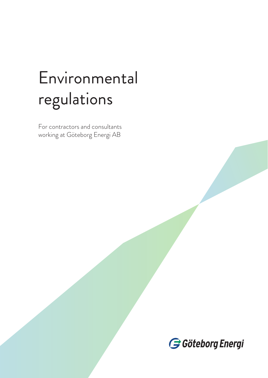# Environmental regulations

For contractors and consultants working at Göteborg Energi AB

Göteborg Energi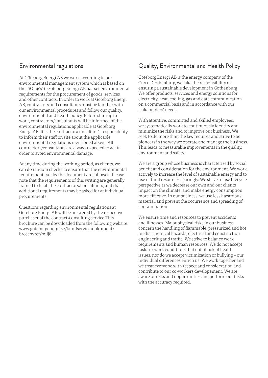#### Environmental regulations

At Göteborg Energi AB we work according to our environmental management system which is based on the ISO 14001. Göteborg Energi AB has set environmental requirements for the procurement of goods, services and other contracts. In order to work at Göteborg Energi AB, contractors and consultants must be familiar with our environmental procedures and follow our quality, environmental and health policy. Before starting to work, contractors/consultants will be informed of the environmental regulations applicable at Göteborg Energi AB. It is the contractor/consultant's responsibility to inform their staff on site about the applicable environmental regulations mentioned above. All contractors/consultants are always expected to act in order to avoid environmental damage.

At any time during the working period, as clients, we can do random checks to ensure that the environmental requirements set by the document are followed. Please note that the requirements of this writing are generally framed to fit all the contractors/consultants, and that additional requirements may be asked for at individual procurements.

Questions regarding environmental regulations at Göteborg Energi AB will be answered by the respective purchaser of the contract/consulting service.This brochure can be downloaded from the following website: www.goteborgenergi.se/kundservice/dokument/ broschyrer/miljö.

### Quality, Environmental and Health Policy

Göteborg Energi AB is the energy company of the City of Gothenburg, we take the responsibility of ensuring a sustainable development in Gothenburg. We offer products, services and energy solutions for electricity, heat, cooling, gas and data communication on a commercial basis and in accordance with our stakeholders' needs.

With attentive, committed and skilled employees, we systematically work to continuously identify and minimize the risks and to improve our business. We seek to do more than the law requires and strive to be pioneers in the way we operate and manage the business. This leads to measurable improvements in the quality, environment and safety.

We are a group whose business is characterized by social benefit and consideration for the environment. We work actively to increase the level of sustainable energy and to use natural resources sparingly. We strive to use lifecycle perspective as we decrease our own and our clients impact on the climate, and make energy consumption more effective. In our business, we use less hazardous material, and prevent the occurrence and spreading of contamination.

We ensure time and resources to prevent accidents and illnesses. Major physical risks in our business concern the handling of flammable, pressurized and hot media, chemical hazards, electrical and construction engineering and traffic. We strive to balance work requirements and human resources. We do not accept tasks or work conditions that entail risk of health issues, nor do we accept victimization or bullying – our individual differences enrich us. We work together and we treat everyone with respect and consideration and contribute to our co-workers developement. We are aware or risks and opportunities and perform our tasks with the accuracy required.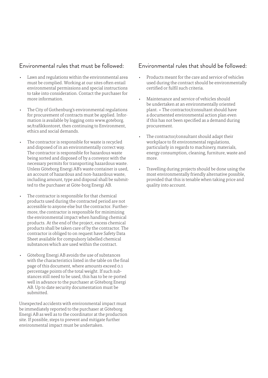#### Environmental rules that must be followed:

- Laws and regulations within the environmental area must be complied. Working at our sites often entail environmental permissions and special instructions to take into consideration. Contact the purchaser for more information.
- The City of Gothenburg's environmental regulations for procurement of contracts must be applied. Information is available by logging onto www.goteborg. se/trafikkontoret, then continuing to Environment, ethics and social demands.
- The contractor is responsible for waste is recycled and disposed of in an environmentally correct way. The contractor is responsible for hazardous waste being sorted and disposed of by a conveyor with the necessary permits for transporting hazardous waste. Unless Göteborg Energi AB's waste container is used, an account of hazardous and non-hazardous waste, including amount, type and disposal shall be submitted to the purchaser at Göte-borg Energi AB.
- The contractor is responsible for that chemical products used during the contracted period are not accessible to anyone else but the contractor. Furthermore, the contractor is responsible for minimizing the environmental impact when handling chemical products. At the end of the project, excess chemical products shall be taken care of by the contractor. The contractor is obliged to on request have Safety Data Sheet available for compulsory labelled chemical substances which are used within the contract.
- Göteborg Energi AB avoids the use of substances with the characteristics listed in the table on the final page of this document, where amounts exceed 0.1 percentage points of the total weight. If such substances still need to be used, this has to be re-ported well in advance to the purchaser at Göteborg Energi AB. Up to date security documentation must be submitted.

Unexpected accidents with environmental impact must be immediately reported to the purchaser at Göteborg Energi AB as well as to the coordinator at the production site. If possible, steps to prevent and mitigate further environmental impact must be undertaken.

#### Environmental rules that should be followed:

- Products meant for the care and service of vehicles used during the contract should be environmentally certified or fulfil such criteria.
- Maintenance and service of vehicles should be undertaken at an environmentally oriented plant. • The contractor/consultant should have a documented environmental action plan even if this has not been specified as a demand during procurement.
- The contractor/consultant should adapt their workplace to fit environmental regulations, particularly in regards to machinery, materials, energy consumption, cleaning, furniture, waste and more.
- Travelling during projects should be done using the most environmentally friendly alternative possible, provided that this is tenable when taking price and quality into account.